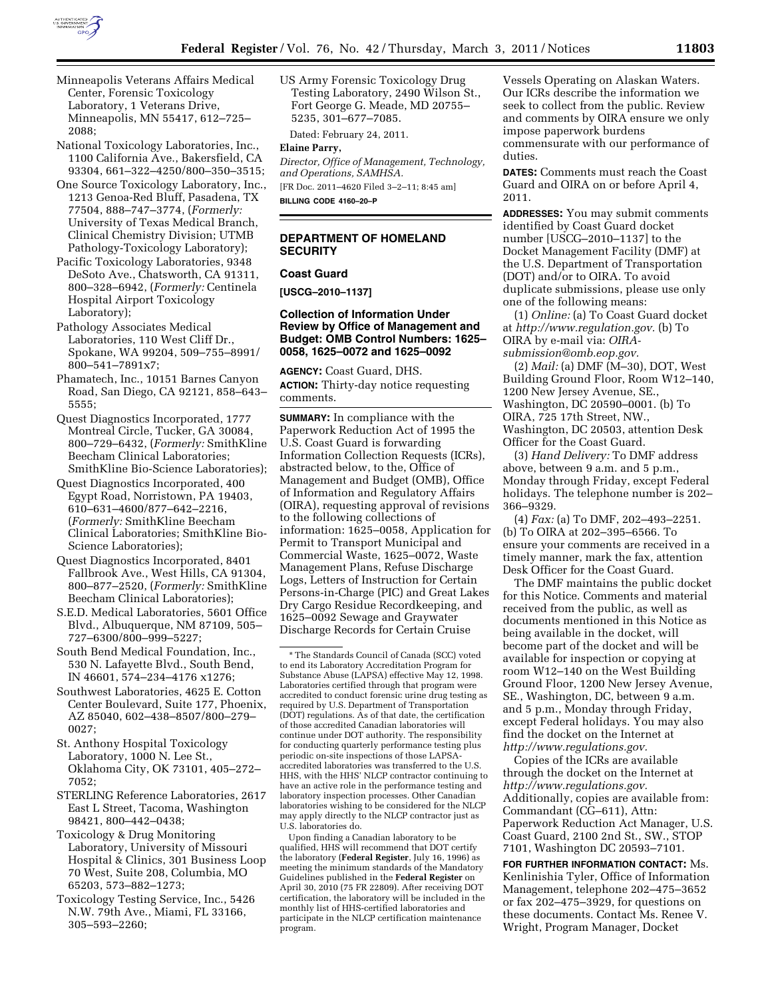

- Minneapolis Veterans Affairs Medical Center, Forensic Toxicology Laboratory, 1 Veterans Drive, Minneapolis, MN 55417, 612–725– 2088;
- National Toxicology Laboratories, Inc., 1100 California Ave., Bakersfield, CA 93304, 661–322–4250/800–350–3515;
- One Source Toxicology Laboratory, Inc., 1213 Genoa-Red Bluff, Pasadena, TX 77504, 888–747–3774, (*Formerly:*  University of Texas Medical Branch, Clinical Chemistry Division; UTMB Pathology-Toxicology Laboratory);
- Pacific Toxicology Laboratories, 9348 DeSoto Ave., Chatsworth, CA 91311, 800–328–6942, (*Formerly:* Centinela Hospital Airport Toxicology Laboratory);
- Pathology Associates Medical Laboratories, 110 West Cliff Dr., Spokane, WA 99204, 509–755–8991/ 800–541–7891x7;
- Phamatech, Inc., 10151 Barnes Canyon Road, San Diego, CA 92121, 858–643– 5555;
- Quest Diagnostics Incorporated, 1777 Montreal Circle, Tucker, GA 30084, 800–729–6432, (*Formerly:* SmithKline Beecham Clinical Laboratories; SmithKline Bio-Science Laboratories);
- Quest Diagnostics Incorporated, 400 Egypt Road, Norristown, PA 19403, 610–631–4600/877–642–2216, (*Formerly:* SmithKline Beecham Clinical Laboratories; SmithKline Bio-Science Laboratories);
- Quest Diagnostics Incorporated, 8401 Fallbrook Ave., West Hills, CA 91304, 800–877–2520, (*Formerly:* SmithKline Beecham Clinical Laboratories);
- S.E.D. Medical Laboratories, 5601 Office Blvd., Albuquerque, NM 87109, 505– 727–6300/800–999–5227;
- South Bend Medical Foundation, Inc., 530 N. Lafayette Blvd., South Bend, IN 46601, 574–234–4176 x1276;
- Southwest Laboratories, 4625 E. Cotton Center Boulevard, Suite 177, Phoenix, AZ 85040, 602–438–8507/800–279– 0027;
- St. Anthony Hospital Toxicology Laboratory, 1000 N. Lee St., Oklahoma City, OK 73101, 405–272– 7052;
- STERLING Reference Laboratories, 2617 East L Street, Tacoma, Washington 98421, 800–442–0438;
- Toxicology & Drug Monitoring Laboratory, University of Missouri Hospital & Clinics, 301 Business Loop 70 West, Suite 208, Columbia, MO 65203, 573–882–1273;
- Toxicology Testing Service, Inc., 5426 N.W. 79th Ave., Miami, FL 33166, 305–593–2260;

US Army Forensic Toxicology Drug Testing Laboratory, 2490 Wilson St., Fort George G. Meade, MD 20755– 5235, 301–677–7085.

Dated: February 24, 2011.

#### **Elaine Parry,**

*Director, Office of Management, Technology, and Operations, SAMHSA.* 

[FR Doc. 2011–4620 Filed 3–2–11; 8:45 am]

**BILLING CODE 4160–20–P** 

## **DEPARTMENT OF HOMELAND SECURITY**

## **Coast Guard**

**[USCG–2010–1137]** 

#### **Collection of Information Under Review by Office of Management and Budget: OMB Control Numbers: 1625– 0058, 1625–0072 and 1625–0092**

**AGENCY:** Coast Guard, DHS. **ACTION:** Thirty-day notice requesting comments.

**SUMMARY:** In compliance with the Paperwork Reduction Act of 1995 the U.S. Coast Guard is forwarding Information Collection Requests (ICRs), abstracted below, to the, Office of Management and Budget (OMB), Office of Information and Regulatory Affairs (OIRA), requesting approval of revisions to the following collections of information: 1625–0058, Application for Permit to Transport Municipal and Commercial Waste, 1625–0072, Waste Management Plans, Refuse Discharge Logs, Letters of Instruction for Certain Persons-in-Charge (PIC) and Great Lakes Dry Cargo Residue Recordkeeping, and 1625–0092 Sewage and Graywater Discharge Records for Certain Cruise

Upon finding a Canadian laboratory to be qualified, HHS will recommend that DOT certify the laboratory (**Federal Register**, July 16, 1996) as meeting the minimum standards of the Mandatory Guidelines published in the **Federal Register** on April 30, 2010 (75 FR 22809). After receiving DOT certification, the laboratory will be included in the monthly list of HHS-certified laboratories and participate in the NLCP certification maintenance program.

Vessels Operating on Alaskan Waters. Our ICRs describe the information we seek to collect from the public. Review and comments by OIRA ensure we only impose paperwork burdens commensurate with our performance of duties.

**DATES:** Comments must reach the Coast Guard and OIRA on or before April 4, 2011.

**ADDRESSES:** You may submit comments identified by Coast Guard docket number [USCG–2010–1137] to the Docket Management Facility (DMF) at the U.S. Department of Transportation (DOT) and/or to OIRA. To avoid duplicate submissions, please use only one of the following means:

(1) *Online:* (a) To Coast Guard docket at *[http://www.regulation.gov.](http://www.regulation.gov)* (b) To OIRA by e-mail via: *[OIRA](mailto:OIRA-submission@omb.eop.gov)[submission@omb.eop.gov.](mailto:OIRA-submission@omb.eop.gov)* 

(2) *Mail:* (a) DMF (M–30), DOT, West Building Ground Floor, Room W12–140, 1200 New Jersey Avenue, SE., Washington, DC 20590–0001. (b) To OIRA, 725 17th Street, NW., Washington, DC 20503, attention Desk Officer for the Coast Guard.

(3) *Hand Delivery:* To DMF address above, between 9 a.m. and 5 p.m., Monday through Friday, except Federal holidays. The telephone number is 202– 366–9329.

(4) *Fax:* (a) To DMF, 202–493–2251. (b) To OIRA at 202–395–6566. To ensure your comments are received in a timely manner, mark the fax, attention Desk Officer for the Coast Guard.

The DMF maintains the public docket for this Notice. Comments and material received from the public, as well as documents mentioned in this Notice as being available in the docket, will become part of the docket and will be available for inspection or copying at room W12–140 on the West Building Ground Floor, 1200 New Jersey Avenue, SE., Washington, DC, between 9 a.m. and 5 p.m., Monday through Friday, except Federal holidays. You may also find the docket on the Internet at *[http://www.regulations.gov.](http://www.regulations.gov)* 

Copies of the ICRs are available through the docket on the Internet at *[http://www.regulations.gov.](http://www.regulations.gov)*  Additionally, copies are available from: Commandant (CG–611), Attn: Paperwork Reduction Act Manager, U.S. Coast Guard, 2100 2nd St., SW., STOP 7101, Washington DC 20593–7101.

**FOR FURTHER INFORMATION CONTACT:** Ms. Kenlinishia Tyler, Office of Information Management, telephone 202–475–3652 or fax 202–475–3929, for questions on these documents. Contact Ms. Renee V. Wright, Program Manager, Docket

<sup>\*</sup> The Standards Council of Canada (SCC) voted to end its Laboratory Accreditation Program for Substance Abuse (LAPSA) effective May 12, 1998. Laboratories certified through that program were accredited to conduct forensic urine drug testing as required by U.S. Department of Transportation (DOT) regulations. As of that date, the certification of those accredited Canadian laboratories will continue under DOT authority. The responsibility for conducting quarterly performance testing plus periodic on-site inspections of those LAPSAaccredited laboratories was transferred to the U.S. HHS, with the HHS' NLCP contractor continuing to have an active role in the performance testing and laboratory inspection processes. Other Canadian laboratories wishing to be considered for the NLCP may apply directly to the NLCP contractor just as U.S. laboratories do.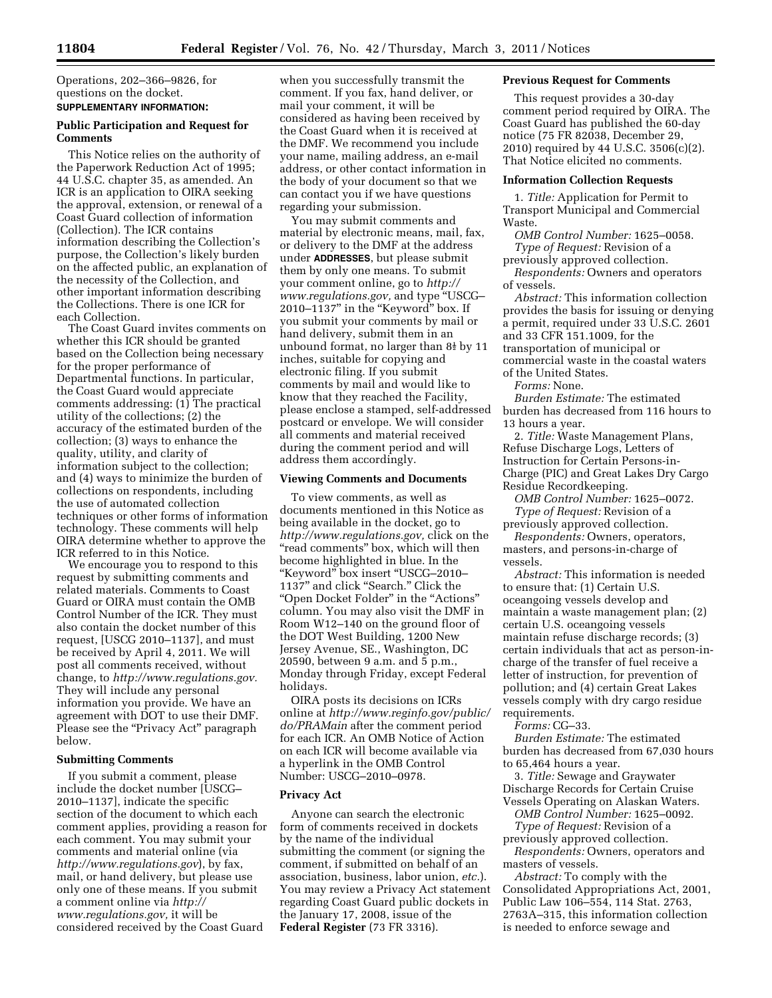Operations, 202–366–9826, for questions on the docket. **SUPPLEMENTARY INFORMATION:** 

## **Public Participation and Request for Comments**

This Notice relies on the authority of the Paperwork Reduction Act of 1995; 44 U.S.C. chapter 35, as amended. An ICR is an application to OIRA seeking the approval, extension, or renewal of a Coast Guard collection of information (Collection). The ICR contains information describing the Collection's purpose, the Collection's likely burden on the affected public, an explanation of the necessity of the Collection, and other important information describing the Collections. There is one ICR for each Collection.

The Coast Guard invites comments on whether this ICR should be granted based on the Collection being necessary for the proper performance of Departmental functions. In particular, the Coast Guard would appreciate comments addressing: (1) The practical utility of the collections; (2) the accuracy of the estimated burden of the collection; (3) ways to enhance the quality, utility, and clarity of information subject to the collection; and (4) ways to minimize the burden of collections on respondents, including the use of automated collection techniques or other forms of information technology. These comments will help OIRA determine whether to approve the ICR referred to in this Notice.

We encourage you to respond to this request by submitting comments and related materials. Comments to Coast Guard or OIRA must contain the OMB Control Number of the ICR. They must also contain the docket number of this request, [USCG 2010–1137], and must be received by April 4, 2011. We will post all comments received, without change, to *[http://www.regulations.gov.](http://www.regulations.gov)*  They will include any personal information you provide. We have an agreement with DOT to use their DMF. Please see the "Privacy Act" paragraph below.

# **Submitting Comments**

If you submit a comment, please include the docket number [USCG– 2010–1137], indicate the specific section of the document to which each comment applies, providing a reason for each comment. You may submit your comments and material online (via *<http://www.regulations.gov>*), by fax, mail, or hand delivery, but please use only one of these means. If you submit a comment online via *[http://](http://www.regulations.gov) [www.regulations.gov,](http://www.regulations.gov)* it will be considered received by the Coast Guard

when you successfully transmit the comment. If you fax, hand deliver, or mail your comment, it will be considered as having been received by the Coast Guard when it is received at the DMF. We recommend you include your name, mailing address, an e-mail address, or other contact information in the body of your document so that we can contact you if we have questions regarding your submission.

You may submit comments and material by electronic means, mail, fax, or delivery to the DMF at the address under **ADDRESSES**, but please submit them by only one means. To submit your comment online, go to *[http://](http://www.regulations.gov)  [www.regulations.gov,](http://www.regulations.gov)* and type ''USCG– 2010–1137'' in the ''Keyword'' box. If you submit your comments by mail or hand delivery, submit them in an unbound format, no larger than  $8\frac{1}{2}$  by 11 inches, suitable for copying and electronic filing. If you submit comments by mail and would like to know that they reached the Facility, please enclose a stamped, self-addressed postcard or envelope. We will consider all comments and material received during the comment period and will address them accordingly.

#### **Viewing Comments and Documents**

To view comments, as well as documents mentioned in this Notice as being available in the docket, go to *[http://www.regulations.gov,](http://www.regulations.gov)* click on the "read comments" box, which will then become highlighted in blue. In the ''Keyword'' box insert ''USCG–2010– 1137'' and click ''Search.'' Click the ''Open Docket Folder'' in the ''Actions'' column. You may also visit the DMF in Room W12–140 on the ground floor of the DOT West Building, 1200 New Jersey Avenue, SE., Washington, DC 20590, between 9 a.m. and 5 p.m., Monday through Friday, except Federal holidays.

OIRA posts its decisions on ICRs online at *[http://www.reginfo.gov/public/](http://www.reginfo.gov/public/do/PRAMain) [do/PRAMain](http://www.reginfo.gov/public/do/PRAMain)* after the comment period for each ICR. An OMB Notice of Action on each ICR will become available via a hyperlink in the OMB Control Number: USCG–2010–0978.

### **Privacy Act**

Anyone can search the electronic form of comments received in dockets by the name of the individual submitting the comment (or signing the comment, if submitted on behalf of an association, business, labor union, *etc.*). You may review a Privacy Act statement regarding Coast Guard public dockets in the January 17, 2008, issue of the **Federal Register** (73 FR 3316).

## **Previous Request for Comments**

This request provides a 30-day comment period required by OIRA. The Coast Guard has published the 60-day notice (75 FR 82038, December 29, 2010) required by 44 U.S.C. 3506(c)(2). That Notice elicited no comments.

### **Information Collection Requests**

1. *Title:* Application for Permit to Transport Municipal and Commercial Waste.

*OMB Control Number:* 1625–0058. *Type of Request:* Revision of a previously approved collection. *Respondents:* Owners and operators

of vessels.

*Abstract:* This information collection provides the basis for issuing or denying a permit, required under 33 U.S.C. 2601 and 33 CFR 151.1009, for the transportation of municipal or commercial waste in the coastal waters of the United States.

*Forms:* None.

*Burden Estimate:* The estimated burden has decreased from 116 hours to 13 hours a year.

2. *Title:* Waste Management Plans, Refuse Discharge Logs, Letters of Instruction for Certain Persons-in-Charge (PIC) and Great Lakes Dry Cargo Residue Recordkeeping.

*OMB Control Number:* 1625–0072. *Type of Request:* Revision of a previously approved collection.

*Respondents:* Owners, operators, masters, and persons-in-charge of vessels.

*Abstract:* This information is needed to ensure that: (1) Certain U.S. oceangoing vessels develop and maintain a waste management plan; (2) certain U.S. oceangoing vessels maintain refuse discharge records; (3) certain individuals that act as person-incharge of the transfer of fuel receive a letter of instruction, for prevention of pollution; and (4) certain Great Lakes vessels comply with dry cargo residue requirements.

*Forms:* CG–33.

*Burden Estimate:* The estimated burden has decreased from 67,030 hours to 65,464 hours a year.

3. *Title:* Sewage and Graywater Discharge Records for Certain Cruise Vessels Operating on Alaskan Waters.

*OMB Control Number:* 1625–0092. *Type of Request:* Revision of a

previously approved collection.

*Respondents:* Owners, operators and masters of vessels.

*Abstract:* To comply with the Consolidated Appropriations Act, 2001, Public Law 106–554, 114 Stat. 2763, 2763A–315, this information collection is needed to enforce sewage and